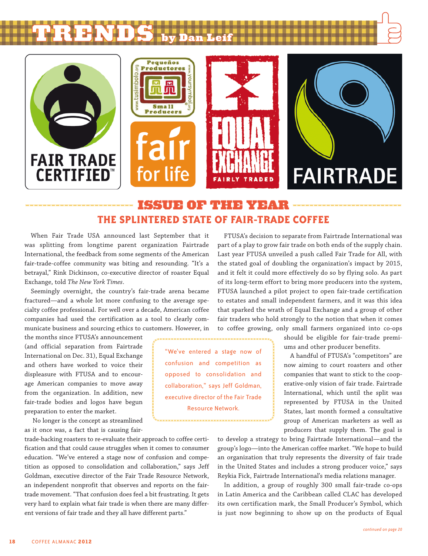









# issue of the Year **The splintered state of fair-trade coffee**

When Fair Trade USA announced last September that it was splitting from longtime parent organization Fairtrade International, the feedback from some segments of the American fair-trade-coffee community was biting and resounding. "It's a betrayal," Rink Dickinson, co-executive director of roaster Equal Exchange, told *The New York Times*.

Seemingly overnight, the country's fair-trade arena became fractured—and a whole lot more confusing to the average specialty coffee professional. For well over a decade, American coffee companies had used the certification as a tool to clearly communicate business and sourcing ethics to customers. However, in

the months since FTUSA's announcement (and official separation from Fairtrade International on Dec. 31), Equal Exchange and others have worked to voice their displeasure with FTUSA and to encourage American companies to move away from the organization. In addition, new fair-trade bodies and logos have begun preparation to enter the market.

 No longer is the concept as streamlined as it once was, a fact that is causing fair-

trade-backing roasters to re-evaluate their approach to coffee certification and that could cause struggles when it comes to consumer education. "We've entered a stage now of confusion and competition as opposed to consolidation and collaboration," says Jeff Goldman, executive director of the Fair Trade Resource Network, an independent nonprofit that observes and reports on the fairtrade movement. "That confusion does feel a bit frustrating. It gets very hard to explain what fair trade is when there are many different versions of fair trade and they all have different parts."

FTUSA's decision to separate from Fairtrade International was part of a play to grow fair trade on both ends of the supply chain. Last year FTUSA unveiled a push called Fair Trade for All, with the stated goal of doubling the organization's impact by 2015, and it felt it could more effectively do so by flying solo. As part of its long-term effort to bring more producers into the system, FTUSA launched a pilot project to open fair-trade certification to estates and small independent farmers, and it was this idea that sparked the wrath of Equal Exchange and a group of other fair traders who hold strongly to the notion that when it comes to coffee growing, only small farmers organized into co-ops

> should be eligible for fair-trade premiums and other producer benefits.

> A handful of FTUSA's "competitors" are now aiming to court roasters and other companies that want to stick to the cooperative-only vision of fair trade. Fairtrade International, which until the split was represented by FTUSA in the United States, last month formed a consultative group of American marketers as well as producers that supply them. The goal is

to develop a strategy to bring Fairtrade International—and the group's logo—into the American coffee market. "We hope to build an organization that truly represents the diversity of fair trade in the United States and includes a strong producer voice," says Reykia Fick, Fairtrade International's media relations manager.

In addition, a group of roughly 300 small fair-trade co-ops in Latin America and the Caribbean called CLAC has developed its own certification mark, the Small Producer's Symbol, which is just now beginning to show up on the products of Equal

confusion and competition as opposed to consolidation and collaboration," says Jeff Goldman, executive director of the Fair Trade Resource Network.

........................

"We've entered a stage now of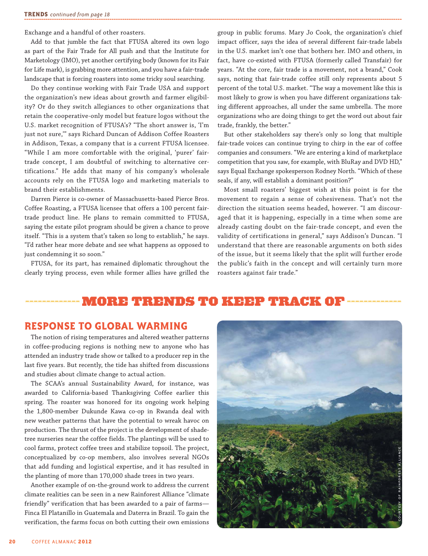Exchange and a handful of other roasters.

Add to that jumble the fact that FTUSA altered its own logo as part of the Fair Trade for All push and that the Institute for Marketology (IMO), yet another certifying body (known for its Fair for Life mark), is grabbing more attention, and you have a fair-trade landscape that is forcing roasters into some tricky soul searching.

Do they continue working with Fair Trade USA and support the organization's new ideas about growth and farmer eligibility? Or do they switch allegiances to other organizations that retain the cooperative-only model but feature logos without the U.S. market recognition of FTUSA's? "The short answer is, 'I'm just not sure,'" says Richard Duncan of Addison Coffee Roasters in Addison, Texas, a company that is a current FTUSA licensee. "While I am more comfortable with the original, 'purer' fairtrade concept, I am doubtful of switching to alternative certifications." He adds that many of his company's wholesale accounts rely on the FTUSA logo and marketing materials to brand their establishments.

Darren Pierce is co-owner of Massachusetts-based Pierce Bros. Coffee Roasting, a FTUSA licensee that offers a 100 percent fairtrade product line. He plans to remain committed to FTUSA, saying the estate pilot program should be given a chance to prove itself. "This is a system that's taken so long to establish," he says. "I'd rather hear more debate and see what happens as opposed to just condemning it so soon."

FTUSA, for its part, has remained diplomatic throughout the clearly trying process, even while former allies have grilled the

group in public forums. Mary Jo Cook, the organization's chief impact officer, says the idea of several different fair-trade labels in the U.S. market isn't one that bothers her. IMO and others, in fact, have co-existed with FTUSA (formerly called Transfair) for years. "At the core, fair trade is a movement, not a brand," Cook says, noting that fair-trade coffee still only represents about 5 percent of the total U.S. market. "The way a movement like this is most likely to grow is when you have different organizations taking different approaches, all under the same umbrella. The more organizations who are doing things to get the word out about fair trade, frankly, the better."

But other stakeholders say there's only so long that multiple fair-trade voices can continue trying to chirp in the ear of coffee companies and consumers. "We are entering a kind of marketplace competition that you saw, for example, with BluRay and DVD HD," says Equal Exchange spokesperson Rodney North. "Which of these seals, if any, will establish a dominant position?"

Most small roasters' biggest wish at this point is for the movement to regain a sense of cohesiveness. That's not the direction the situation seems headed, however. "I am discouraged that it is happening, especially in a time when some are already casting doubt on the fair-trade concept, and even the validity of certifications in general," says Addison's Duncan. "I understand that there are reasonable arguments on both sides of the issue, but it seems likely that the split will further erode the public's faith in the concept and will certainly turn more roasters against fair trade."

# more trends to keep track of

#### **Response to global warming**

The notion of rising temperatures and altered weather patterns in coffee-producing regions is nothing new to anyone who has attended an industry trade show or talked to a producer rep in the last five years. But recently, the tide has shifted from discussions and studies about climate change to actual action.

The SCAA's annual Sustainability Award, for instance, was awarded to California-based Thanksgiving Coffee earlier this spring. The roaster was honored for its ongoing work helping the 1,800-member Dukunde Kawa co-op in Rwanda deal with new weather patterns that have the potential to wreak havoc on production. The thrust of the project is the development of shadetree nurseries near the coffee fields. The plantings will be used to cool farms, protect coffee trees and stabilize topsoil. The project, conceptualized by co-op members, also involves several NGOs that add funding and logistical expertise, and it has resulted in the planting of more than 170,000 shade trees in two years.

Another example of on-the-ground work to address the current climate realities can be seen in a new Rainforest Alliance "climate friendly" verification that has been awarded to a pair of farms— Finca El Platanillo in Guatemala and Daterra in Brazil. To gain the verification, the farms focus on both cutting their own emissions